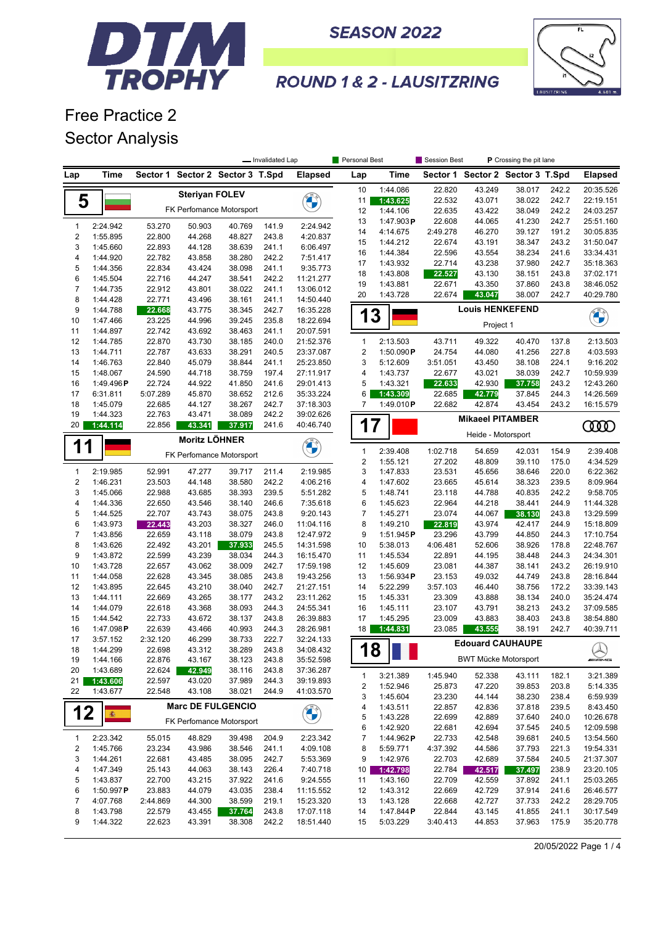

**SEASON 2022** 



## **ROUND 1 & 2 - LAUSITZRING**

Free Practice 2 Sector Analysis

|                         |                      |                  |                       |                                  | - Invalidated Lap |                        | Personal Best   |                       | Session Best     | P Crossing the pit lane          |                  |                |                          |
|-------------------------|----------------------|------------------|-----------------------|----------------------------------|-------------------|------------------------|-----------------|-----------------------|------------------|----------------------------------|------------------|----------------|--------------------------|
| Lap                     | Time                 |                  |                       | Sector 1 Sector 2 Sector 3 T.Spd |                   | <b>Elapsed</b>         | Lap             | <b>Time</b>           |                  | Sector 1 Sector 2 Sector 3 T.Spd |                  |                | <b>Elapsed</b>           |
|                         |                      |                  | <b>Steriyan FOLEV</b> |                                  |                   |                        | 10              | 1:44.086              | 22.820           | 43.249                           | 38.017           | 242.2          | 20:35.526                |
| 5                       |                      |                  |                       |                                  |                   |                        | 11              | 1:43.625              | 22.532           | 43.071                           | 38.022           | 242.7          | 22:19.151                |
|                         |                      |                  |                       | FK Perfomance Motorsport         |                   |                        | 12              | 1:44.106              | 22.635           | 43.422                           | 38.049           | 242.2          | 24:03.257                |
| $\mathbf{1}$            | 2:24.942             | 53.270           | 50.903                | 40.769                           | 141.9             | 2:24.942               | 13              | 1:47.903P             | 22.608           | 44.065                           | 41.230           | 242.7          | 25:51.160                |
| $\mathbf 2$             | 1:55.895             | 22.800           | 44.268                | 48.827                           | 243.8             | 4:20.837               | 14              | 4:14.675              | 2:49.278         | 46.270                           | 39.127           | 191.2          | 30:05.835                |
| 3                       | 1:45.660             | 22.893           | 44.128                | 38.639                           | 241.1             | 6:06.497               | 15              | 1:44.212              | 22.674           | 43.191                           | 38.347           | 243.2          | 31:50.047                |
| $\overline{\mathbf{4}}$ | 1:44.920             | 22.782           | 43.858                | 38.280                           | 242.2             | 7:51.417               | 16              | 1:44.384              | 22.596           | 43.554                           | 38.234           | 241.6          | 33:34.431                |
| 5                       | 1:44.356             | 22.834           | 43.424                | 38.098                           | 241.1             | 9:35.773               | 17              | 1:43.932              | 22.714           | 43.238                           | 37.980           | 242.7          | 35:18.363                |
| 6                       | 1:45.504             | 22.716           | 44.247                | 38.541                           | 242.2             | 11:21.277              | 18              | 1:43.808              | 22.527           | 43.130                           | 38.151           | 243.8          | 37:02.171                |
| $\overline{7}$          | 1:44.735             | 22.912           | 43.801                | 38.022                           | 241.1             | 13:06.012              | 19              | 1:43.881<br>1:43.728  | 22.671           | 43.350                           | 37.860           | 243.8<br>242.7 | 38:46.052                |
| 8                       | 1:44.428             | 22.771           | 43.496                | 38.161                           | 241.1             | 14:50.440              | 20              |                       | 22.674           | 43.047                           | 38.007           |                | 40:29.780                |
| 9                       | 1:44.788             | 22.668           | 43.775                | 38.345                           | 242.7             | 16:35.228              | 1               | 3                     |                  | <b>Louis HENKEFEND</b>           |                  |                | <b>CALLES</b>            |
| 10                      | 1:47.466             | 23.225           | 44.996                | 39.245                           | 235.8             | 18:22.694              |                 |                       |                  | Project 1                        |                  |                |                          |
| 11                      | 1:44.897             | 22.742           | 43.692                | 38.463                           | 241.1             | 20:07.591              |                 |                       |                  |                                  |                  |                |                          |
| 12                      | 1:44.785             | 22.870           | 43.730                | 38.185                           | 240.0             | 21:52.376              | 1               | 2:13.503              | 43.711           | 49.322                           | 40.470           | 137.8          | 2:13.503                 |
| 13                      | 1:44.711             | 22.787           | 43.633                | 38.291                           | 240.5             | 23:37.087              | 2               | 1:50.090 $P$          | 24.754           | 44.080                           | 41.256           | 227.8          | 4:03.593                 |
| 14                      | 1:46.763             | 22.840           | 45.079                | 38.844                           | 241.1             | 25:23.850              | 3               | 5:12.609              | 3:51.051         | 43.450                           | 38.108           | 224.1          | 9:16.202                 |
| 15                      | 1:48.067             | 24.590           | 44.718                | 38.759                           | 197.4             | 27:11.917              | 4               | 1:43.737              | 22.677           | 43.021                           | 38.039           | 242.7          | 10:59.939                |
| 16                      | 1:49.496 $P$         | 22.724           | 44.922                | 41.850                           | 241.6             | 29:01.413              | 5               | 1:43.321              | 22.633           | 42.930                           | 37.758           | 243.2          | 12:43.260                |
| 17                      | 6:31.811             | 5:07.289         | 45.870                | 38.652                           | 212.6             | 35:33.224              | 6               | 1:43.309              | 22.685           | 42.779                           | 37.845           | 244.3          | 14:26.569                |
| 18<br>19                | 1:45.079             | 22.685           | 44.127                | 38.267                           | 242.7             | 37:18.303<br>39:02.626 | 7               | 1:49.010P             | 22.682           | 42.874                           | 43.454           | 243.2          | 16:15.579                |
| 20                      | 1:44.323<br>1:44.114 | 22.763<br>22.856 | 43.471<br>43.341      | 38.089<br>37.917                 | 242.2<br>241.6    | 40:46.740              | 1               |                       |                  | <b>Mikaeel PITAMBER</b>          |                  |                |                          |
|                         |                      |                  | <b>Moritz LÖHNER</b>  |                                  |                   |                        |                 | 7                     |                  | <b>COOD</b>                      |                  |                |                          |
| 1                       | 1                    |                  |                       |                                  |                   | <b>CALCIO</b>          | $\mathbf{1}$    | 2:39.408              | 1:02.718         | 54.659                           | 42.031           | 154.9          | 2:39.408                 |
|                         |                      |                  |                       | FK Perfomance Motorsport         |                   |                        | $\overline{c}$  | 1:55.121              | 27.202           | 48.809                           | 39.110           | 175.0          | 4:34.529                 |
| $\mathbf{1}$            | 2:19.985             | 52.991           | 47.277                | 39.717                           | 211.4             | 2:19.985               | 3               | 1:47.833              | 23.531           | 45.656                           | 38.646           | 220.0          | 6:22.362                 |
| $\mathbf 2$             | 1:46.231             | 23.503           | 44.148                | 38.580                           | 242.2             | 4:06.216               | 4               | 1:47.602              | 23.665           | 45.614                           | 38.323           | 239.5          | 8:09.964                 |
| 3                       | 1:45.066             | 22.988           | 43.685                | 38.393                           | 239.5             | 5:51.282               | 5               | 1:48.741              | 23.118           | 44.788                           | 40.835           | 242.2          | 9:58.705                 |
| $\overline{4}$          | 1:44.336             | 22.650           | 43.546                | 38.140                           | 246.6             | 7:35.618               | 6               | 1:45.623              | 22.964           | 44.218                           | 38.441           | 244.9          | 11:44.328                |
| 5                       | 1:44.525             | 22.707           | 43.743                | 38.075                           | 243.8             | 9:20.143               | 7               | 1:45.271              | 23.074           | 44.067                           | 38.130           | 243.8          | 13:29.599                |
| 6                       | 1:43.973             | 22.443           | 43.203                | 38.327                           | 246.0             | 11:04.116              | 8               | 1:49.210              | 22.819           | 43.974                           | 42.417           | 244.9          | 15:18.809                |
| $\overline{7}$          | 1:43.856             | 22.659           | 43.118                | 38.079                           | 243.8             | 12:47.972              | 9               | 1:51.945P             | 23.296           | 43.799                           | 44.850           | 244.3          | 17:10.754                |
| 8                       | 1:43.626             | 22.492           | 43.201                | 37.933                           | 245.5             | 14:31.598              | 10              | 5:38.013              | 4:06.481         | 52.606                           | 38.926           | 178.8          | 22:48.767                |
| 9                       | 1:43.872             | 22.599           | 43.239                | 38.034                           | 244.3             | 16:15.470              | 11              | 1:45.534              | 22.891           | 44.195                           | 38.448           | 244.3          | 24:34.301                |
| 10                      | 1:43.728             | 22.657           | 43.062                | 38.009                           | 242.7             | 17:59.198              | 12              | 1:45.609              | 23.081           | 44.387                           | 38.141           | 243.2          | 26:19.910                |
| 11                      | 1:44.058             | 22.628           | 43.345                | 38.085                           | 243.8             | 19:43.256              | 13              | 1:56.934P             | 23.153           | 49.032                           | 44.749           | 243.8          | 28:16.844                |
| 12                      | 1:43.895             | 22.645           | 43.210                | 38.040                           | 242.7             | 21:27.151              | 14              | 5:22.299              | 3:57.103         | 46.440                           | 38.756           | 172.2          | 33:39.143                |
| 13                      | 1:44.111             | 22.669           | 43.265                | 38.177                           | 243.2             | 23:11.262              | 15              | 1:45.331              | 23.309           | 43.888                           | 38.134           | 240.0          | 35:24.474                |
| 14                      | 1:44.079             | 22.618           | 43.368                | 38.093                           | 244.3             | 24:55.341              | 16              | 1:45.111              | 23.107           | 43.791                           | 38.213           | 243.2          | 37:09.585                |
| 15                      | 1:44.542             | 22.733           | 43.672                | 38.137                           | 243.8             | 26:39.883              | 17              | 1:45.295              | 23.009           | 43.883                           | 38.403           | 243.8          | 38:54.880                |
| 16                      | 1:47.098P            | 22.639           | 43.466                | 40.993                           | 244.3             | 28:26.981              | 18              | 1:44.831              | 23.085           | 43.555                           | 38.191           | 242.7          | 40:39.711                |
| 17                      | 3:57.152             | 2:32.120         | 46.299                | 38.733                           | 222.7             | 32:24.133              |                 |                       |                  | <b>Edouard CAUHAUPE</b>          |                  |                |                          |
| 18                      | 1:44.299             | 22.698           | 43.312                | 38.289                           | 243.8             | 34:08.432              |                 | 18                    |                  | <b>BWT Mücke Motorsport</b>      |                  |                | $\bigotimes_{m\equiv m}$ |
| 19                      | 1:44.166             | 22.876           | 43.167                | 38.123                           | 243.8             | 35:52.598              |                 |                       |                  |                                  |                  |                |                          |
| 20                      | 1:43.689             | 22.624           | 42.949                | 38.116                           | 243.8             | 37:36.287              | $\mathbf{1}$    | 3:21.389              | 1:45.940         | 52.338                           | 43.111           | 182.1          | 3:21.389                 |
| 21<br>22                | 1:43.606<br>1:43.677 | 22.597           | 43.020                | 37.989                           | 244.3<br>244.9    | 39:19.893<br>41:03.570 | 2               | 1:52.946              | 25.873           | 47.220                           | 39.853           | 203.8          | 5:14.335                 |
|                         |                      | 22.548           | 43.108                | 38.021                           |                   |                        | 3               | 1:45.604              | 23.230           | 44.144                           | 38.230           | 238.4          | 6:59.939                 |
| 12                      |                      |                  |                       | <b>Marc DE FULGENCIO</b>         |                   | <b>CALCIO</b>          | 4               | 1:43.511              | 22.857           | 42.836                           | 37.818           | 239.5          | 8:43.450                 |
|                         | ●                    |                  |                       | FK Perfomance Motorsport         |                   |                        | 5               | 1:43.228              | 22.699           | 42.889                           | 37.640           | 240.0          | 10:26.678                |
|                         |                      |                  |                       |                                  |                   |                        | 6               | 1:42.920              | 22.681           | 42.694                           | 37.545           | 240.5          | 12:09.598                |
| 1                       | 2:23.342             | 55.015           | 48.829                | 39.498                           | 204.9             | 2:23.342               | 7               | 1:44.962P             | 22.733           | 42.548                           | 39.681           | 240.5          | 13:54.560                |
| $\overline{\mathbf{c}}$ | 1:45.766             | 23.234           | 43.986                | 38.546                           | 241.1             | 4:09.108               | 8               | 5:59.771              | 4:37.392         | 44.586                           | 37.793           | 221.3          | 19:54.331                |
| 3                       | 1:44.261             | 22.681           | 43.485                | 38.095                           | 242.7             | 5:53.369               | 9               | 1:42.976              | 22.703           | 42.689                           | 37.584           | 240.5          | 21:37.307                |
| 4                       | 1:47.349             | 25.143           | 44.063                | 38.143                           | 226.4             | 7:40.718               | 10 <sup>1</sup> | 1:42.798              | 22.784           | 42.517                           | 37.497           | 238.9          | 23:20.105                |
| 5                       | 1:43.837             | 22.700           | 43.215                | 37.922                           | 241.6             | 9:24.555               | 11              | 1:43.160              | 22.709           | 42.559                           | 37.892           | 241.1          | 25:03.265                |
| 6<br>7                  | 1:50.997 $P$         | 23.883           | 44.079                | 43.035                           | 238.4             | 11:15.552              | 12              | 1:43.312              | 22.669           | 42.729                           | 37.914           | 241.6          | 26:46.577                |
| 8                       | 4:07.768<br>1:43.798 | 2:44.869         | 44.300                | 38.599                           | 219.1             | 15:23.320<br>17:07.118 | 13              | 1:43.128<br>1:47.844P | 22.668<br>22.844 | 42.727                           | 37.733           | 242.2          | 28:29.705                |
| 9                       | 1:44.322             | 22.579<br>22.623 | 43.455<br>43.391      | 37.764<br>38.308                 | 243.8<br>242.2    | 18:51.440              | 14<br>15        | 5:03.229              | 3:40.413         | 43.145<br>44.853                 | 41.855<br>37.963 | 241.1<br>175.9 | 30:17.549<br>35:20.778   |
|                         |                      |                  |                       |                                  |                   |                        |                 |                       |                  |                                  |                  |                |                          |

20/05/2022 Page 1 / 4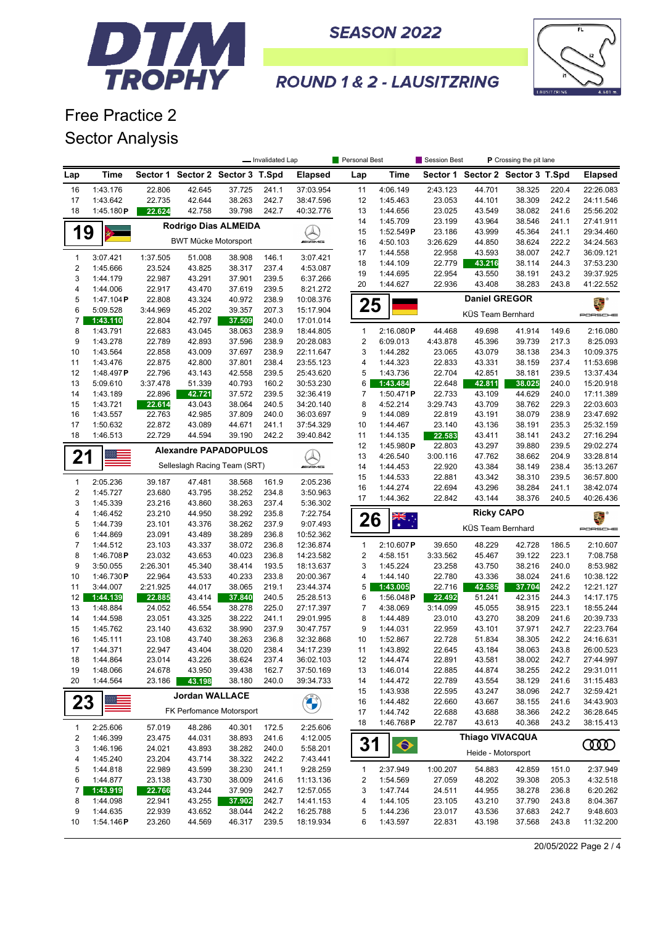

**SEASON 2022** 



## **ROUND 1 & 2 - LAUSITZRING**

Free Practice 2 Sector Analysis

|                |                      |                  |                             |                                  | - Invalidated Lap |                        | Personal Best           |                      | Session Best       | P Crossing the pit lane          |                  |                |                        |
|----------------|----------------------|------------------|-----------------------------|----------------------------------|-------------------|------------------------|-------------------------|----------------------|--------------------|----------------------------------|------------------|----------------|------------------------|
| Lap            | <b>Time</b>          |                  |                             | Sector 1 Sector 2 Sector 3 T.Spd |                   | <b>Elapsed</b>         | Lap                     | <b>Time</b>          |                    | Sector 1 Sector 2 Sector 3 T.Spd |                  |                | <b>Elapsed</b>         |
| 16             | 1:43.176             | 22.806           | 42.645                      | 37.725                           | 241.1             | 37:03.954              | 11                      | 4:06.149             | 2:43.123           | 44.701                           | 38.325           | 220.4          | 22:26.083              |
| 17             | 1:43.642             | 22.735           | 42.644                      | 38.263                           | 242.7             | 38:47.596              | 12                      | 1:45.463             | 23.053             | 44.101                           | 38.309           | 242.2          | 24:11.546              |
| 18             | 1:45.180 $P$         | 22.624           | 42.758                      | 39.798                           | 242.7             | 40:32.776              | 13                      | 1:44.656             | 23.025             | 43.549                           | 38.082           | 241.6          | 25:56.202              |
|                |                      |                  |                             | Rodrigo Dias ALMEIDA             |                   |                        | 14                      | 1:45.709             | 23.199             | 43.964                           | 38.546           | 241.1          | 27:41.911              |
| 19             |                      |                  |                             |                                  |                   | $\lambda$              | 15                      | 1:52.549P            | 23.186             | 43.999                           | 45.364           | 241.1          | 29:34.460              |
|                |                      |                  | <b>BWT Mücke Motorsport</b> |                                  |                   | <b><i>INNE</i></b>     | 16                      | 4:50.103             | 3:26.629           | 44.850                           | 38.624           | 222.2          | 34:24.563              |
| $\mathbf{1}$   | 3:07.421             | 1:37.505         | 51.008                      | 38.908                           | 146.1             | 3:07.421               | 17                      | 1:44.558             | 22.958             | 43.593                           | 38.007           | 242.7          | 36:09.121              |
| $\sqrt{2}$     | 1:45.666             | 23.524           | 43.825                      | 38.317                           | 237.4             | 4:53.087               | 18<br>19                | 1:44.109             | 22.779<br>22.954   | 43.216<br>43.550                 | 38.114<br>38.191 | 244.3<br>243.2 | 37:53.230<br>39:37.925 |
| 3              | 1:44.179             | 22.987           | 43.291                      | 37.901                           | 239.5             | 6:37.266               | 20                      | 1:44.695<br>1:44.627 | 22.936             | 43.408                           | 38.283           | 243.8          | 41:22.552              |
| $\overline{4}$ | 1:44.006             | 22.917           | 43.470                      | 37.619                           | 239.5             | 8:21.272               |                         |                      |                    |                                  |                  |                |                        |
| 5              | 1:47.104P            | 22.808           | 43.324                      | 40.972                           | 238.9             | 10:08.376              | 25                      |                      |                    | <b>Daniel GREGOR</b>             |                  |                | 2. °                   |
| 6              | 5:09.528             | 3:44.969         | 45.202                      | 39.357                           | 207.3             | 15:17.904              |                         |                      |                    | KÜS Team Bernhard                |                  |                | PORSCHE                |
| 7              | 1:43.110             | 22.804           | 42.797                      | 37.509                           | 240.0             | 17:01.014              |                         |                      |                    |                                  |                  |                |                        |
| 8              | 1:43.791             | 22.683           | 43.045                      | 38.063                           | 238.9             | 18:44.805              | $\mathbf{1}$            | 2:16.080P            | 44.468             | 49.698                           | 41.914           | 149.6          | 2:16.080               |
| 9              | 1:43.278<br>1:43.564 | 22.789<br>22.858 | 42.893<br>43.009            | 37.596<br>37.697                 | 238.9<br>238.9    | 20:28.083              | $\overline{c}$<br>3     | 6:09.013<br>1:44.282 | 4:43.878<br>23.065 | 45.396<br>43.079                 | 39.739<br>38.138 | 217.3<br>234.3 | 8:25.093<br>10:09.375  |
| 10<br>11       | 1:43.476             | 22.875           | 42.800                      | 37.801                           | 238.4             | 22:11.647<br>23:55.123 | 4                       | 1:44.323             | 22.833             | 43.331                           | 38.159           | 237.4          | 11:53.698              |
| 12             | 1:48.497P            | 22.796           | 43.143                      | 42.558                           | 239.5             | 25:43.620              | 5                       | 1:43.736             | 22.704             | 42.851                           | 38.181           | 239.5          | 13:37.434              |
| 13             | 5:09.610             | 3:37.478         | 51.339                      | 40.793                           | 160.2             | 30:53.230              | 6                       | 1:43.484             | 22.648             | 42.811                           | 38.025           | 240.0          | 15:20.918              |
| 14             | 1:43.189             | 22.896           | 42.721                      | 37.572                           | 239.5             | 32:36.419              | 7                       | 1:50.471P            | 22.733             | 43.109                           | 44.629           | 240.0          | 17:11.389              |
| 15             | 1:43.721             | 22.614           | 43.043                      | 38.064                           | 240.5             | 34:20.140              | 8                       | 4:52.214             | 3:29.743           | 43.709                           | 38.762           | 229.3          | 22:03.603              |
| 16             | 1:43.557             | 22.763           | 42.985                      | 37.809                           | 240.0             | 36:03.697              | 9                       | 1:44.089             | 22.819             | 43.191                           | 38.079           | 238.9          | 23:47.692              |
| 17             | 1:50.632             | 22.872           | 43.089                      | 44.671                           | 241.1             | 37:54.329              | 10                      | 1:44.467             | 23.140             | 43.136                           | 38.191           | 235.3          | 25:32.159              |
| 18             | 1:46.513             | 22.729           | 44.594                      | 39.190                           | 242.2             | 39:40.842              | 11                      | 1:44.135             | 22.583             | 43.411                           | 38.141           | 243.2          | 27:16.294              |
|                |                      |                  |                             |                                  |                   |                        | 12                      | 1:45.980 $P$         | 22.803             | 43.297                           | 39.880           | 239.5          | 29:02.274              |
| 21             |                      |                  |                             | <b>Alexandre PAPADOPULOS</b>     |                   |                        | 13                      | 4:26.540             | 3:00.116           | 47.762                           | 38.662           | 204.9          | 33:28.814              |
|                |                      |                  |                             | Selleslagh Racing Team (SRT)     |                   | <b><i>INNE</i></b>     | 14                      | 1:44.453             | 22.920             | 43.384                           | 38.149           | 238.4          | 35:13.267              |
| $\mathbf{1}$   |                      |                  |                             |                                  |                   |                        | 15                      | 1:44.533             | 22.881             | 43.342                           | 38.310           | 239.5          | 36:57.800              |
| $\sqrt{2}$     | 2:05.236<br>1:45.727 | 39.187<br>23.680 | 47.481<br>43.795            | 38.568<br>38.252                 | 161.9<br>234.8    | 2:05.236<br>3:50.963   | 16                      | 1:44.274             | 22.694             | 43.296                           | 38.284           | 241.1          | 38:42.074              |
| 3              | 1:45.339             | 23.216           | 43.860                      | 38.263                           | 237.4             | 5:36.302               | 17                      | 1:44.362             | 22.842             | 43.144                           | 38.376           | 240.5          | 40:26.436              |
| $\overline{4}$ | 1:46.452             | 23.210           | 44.950                      | 38.292                           | 235.8             | 7:22.754               |                         |                      |                    | <b>Ricky CAPO</b>                |                  |                | æ.                     |
| 5              | 1:44.739             | 23.101           | 43.376                      | 38.262                           | 237.9             | 9:07.493               | 26                      | $\frac{1}{2}$        |                    |                                  |                  |                |                        |
| 6              | 1:44.869             | 23.091           | 43.489                      | 38.289                           | 236.8             | 10:52.362              |                         |                      |                    | KÜS Team Bernhard                |                  |                | PORSCHE                |
| $\overline{7}$ | 1:44.512             | 23.103           | 43.337                      | 38.072                           | 236.8             | 12:36.874              | $\mathbf{1}$            | 2:10.607P            | 39.650             | 48.229                           | 42.728           | 186.5          | 2:10.607               |
| 8              | 1:46.708P            | 23.032           | 43.653                      | 40.023                           | 236.8             | 14:23.582              | $\overline{\mathbf{c}}$ | 4:58.151             | 3:33.562           | 45.467                           | 39.122           | 223.1          | 7:08.758               |
| 9              | 3:50.055             | 2:26.301         | 45.340                      | 38.414                           | 193.5             | 18:13.637              | 3                       | 1:45.224             | 23.258             | 43.750                           | 38.216           | 240.0          | 8:53.982               |
| 10             | 1:46.730P            | 22.964           | 43.533                      | 40.233                           | 233.8             | 20:00.367              | 4                       | 1:44.140             | 22.780             | 43.336                           | 38.024           | 241.6          | 10:38.122              |
| 11             | 3:44.007             | 2:21.925         | 44.017                      | 38.065                           | 219.1             | 23:44.374              | 5                       | 1:43.005             | 22.716             | 42.585                           | 37.704           | 242.2          | 12:21.127              |
| 12             | 1:44.139             | 22.885           | 43.414                      | 37.840                           | 240.5             | 25:28.513              | 6                       | 1:56.048 $P$         | 22.492             | 51.241                           | 42.315           | 244.3          | 14:17.175              |
| 13             | 1:48.884             | 24.052           | 46.554                      | 38.278                           | 225.0             | 27:17.397              | 7                       | 4:38.069             | 3:14.099           | 45.055                           | 38.915           | 223.1          | 18:55.244              |
| 14             | 1:44.598             | 23.051           | 43.325                      | 38.222                           | 241.1             | 29:01.995              | 8                       | 1:44.489             | 23.010             | 43.270                           | 38.209           | 241.6          | 20:39.733              |
| 15             | 1:45.762             | 23.140           | 43.632                      | 38.990                           | 237.9             | 30:47.757              | 9                       | 1:44.031             | 22.959             | 43.101                           | 37.971           | 242.7          | 22:23.764              |
| 16             | 1:45.111             | 23.108           | 43.740                      | 38.263                           | 236.8             | 32:32.868              | 10                      | 1:52.867             | 22.728             | 51.834                           | 38.305           | 242.2          | 24:16.631              |
| 17             | 1:44.371             | 22.947           | 43.404                      | 38.020                           | 238.4             | 34:17.239              | 11                      | 1:43.892             | 22.645             | 43.184                           | 38.063           | 243.8          | 26:00.523              |
| 18             | 1:44.864             | 23.014           | 43.226                      | 38.624                           | 237.4             | 36:02.103              | 12                      | 1:44.474             | 22.891             | 43.581                           | 38.002           | 242.7          | 27:44.997              |
| 19             | 1:48.066             | 24.678           | 43.950                      | 39.438                           | 162.7             | 37:50.169              | 13                      | 1:46.014             | 22.885             | 44.874                           | 38.255           | 242.2          | 29:31.011              |
| 20             | 1:44.564             | 23.186           | 43.198                      | 38.180                           | 240.0             | 39:34.733              | 14                      | 1:44.472             | 22.789             | 43.554                           | 38.129           | 241.6<br>242.7 | 31:15.483              |
|                |                      |                  | <b>Jordan WALLACE</b>       |                                  |                   |                        | 15<br>16                | 1:43.938<br>1:44.482 | 22.595<br>22.660   | 43.247<br>43.667                 | 38.096<br>38.155 | 241.6          | 32:59.421<br>34:43.903 |
| 23             |                      |                  |                             | FK Perfomance Motorsport         |                   | <b>CONTROL</b>         | 17                      | 1:44.742             | 22.688             | 43.688                           | 38.366           | 242.2          | 36:28.645              |
|                |                      |                  |                             |                                  |                   |                        | 18                      | 1:46.768P            | 22.787             | 43.613                           | 40.368           | 243.2          | 38:15.413              |
| 1              | 2:25.606             | 57.019           | 48.286                      | 40.301                           | 172.5             | 2:25.606               |                         |                      |                    |                                  |                  |                |                        |
| 2              | 1:46.399             | 23.475           | 44.031                      | 38.893                           | 241.6             | 4:12.005               | 31                      | $\bullet$            |                    | <b>Thiago VIVACQUA</b>           |                  |                | ഝ                      |
| 3              | 1:46.196             | 24.021           | 43.893                      | 38.282                           | 240.0             | 5:58.201               |                         |                      |                    | Heide - Motorsport               |                  |                |                        |
| 4<br>5         | 1:45.240<br>1:44.818 | 23.204<br>22.989 | 43.714<br>43.599            | 38.322<br>38.230                 | 242.2<br>241.1    | 7:43.441<br>9:28.259   | 1                       | 2:37.949             | 1:00.207           | 54.883                           | 42.859           | 151.0          | 2:37.949               |
| 6              | 1:44.877             | 23.138           | 43.730                      | 38.009                           | 241.6             | 11:13.136              | 2                       | 1:54.569             | 27.059             | 48.202                           | 39.308           | 205.3          | 4:32.518               |
| 7              | 1:43.919             | 22.766           | 43.244                      | 37.909                           | 242.7             | 12:57.055              | 3                       | 1:47.744             | 24.511             | 44.955                           | 38.278           | 236.8          | 6:20.262               |
| 8              | 1:44.098             | 22.941           | 43.255                      | 37.902                           | 242.7             | 14:41.153              | 4                       | 1:44.105             | 23.105             | 43.210                           | 37.790           | 243.8          | 8:04.367               |
| 9              | 1:44.635             | 22.939           | 43.652                      | 38.044                           | 242.2             | 16:25.788              | 5                       | 1:44.236             | 23.017             | 43.536                           | 37.683           | 242.7          | 9:48.603               |
| 10             | 1:54.146P            | 23.260           | 44.569                      | 46.317                           | 239.5             | 18:19.934              | 6                       | 1:43.597             | 22.831             | 43.198                           | 37.568           | 243.8          | 11:32.200              |

20/05/2022 Page 2 / 4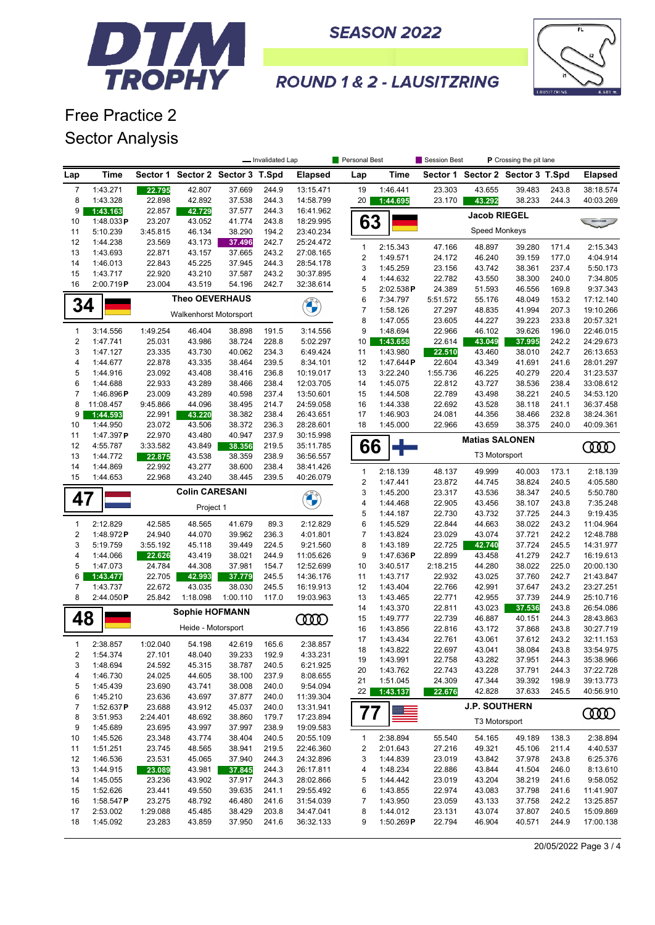



**ROUND 1 & 2 - LAUSITZRING** 

Free Practice 2 Sector Analysis

|                |                        |                    |                                  |                  | - Invalidated Lap |                        | Personal Best           |                       | Session Best       | P Crossing the pit lane |                                  |                |                        |
|----------------|------------------------|--------------------|----------------------------------|------------------|-------------------|------------------------|-------------------------|-----------------------|--------------------|-------------------------|----------------------------------|----------------|------------------------|
| Lap            | <b>Time</b>            |                    | Sector 1 Sector 2 Sector 3 T.Spd |                  |                   | <b>Elapsed</b>         | Lap                     | Time                  |                    |                         | Sector 1 Sector 2 Sector 3 T.Spd |                | <b>Elapsed</b>         |
| $\overline{7}$ | 1:43.271               | 22.795             | 42.807                           | 37.669           | 244.9             | 13:15.471              | 19                      | 1:46.441              | 23.303             | 43.655                  | 39.483                           | 243.8          | 38:18.574              |
| 8              | 1:43.328               | 22.898             | 42.892                           | 37.538           | 244.3             | 14:58.799              | 20 <sub>1</sub>         | 1:44.695              | 23.170             | 43.292                  | 38.233                           | 244.3          | 40:03.269              |
| 9              | 1:43.163               | 22.857             | 42.729                           | 37.577           | 244.3             | 16:41.962              |                         |                       |                    | <b>Jacob RIEGEL</b>     |                                  |                |                        |
| 10             | 1:48.033P              | 23.207             | 43.052                           | 41.774           | 243.8             | 18:29.995              | 63                      |                       |                    | Speed Monkeys           |                                  |                |                        |
| 11<br>12       | 5:10.239<br>1:44.238   | 3:45.815<br>23.569 | 46.134<br>43.173                 | 38.290<br>37.496 | 194.2<br>242.7    | 23:40.234<br>25:24.472 |                         |                       |                    |                         |                                  |                |                        |
| 13             | 1:43.693               | 22.871             | 43.157                           | 37.665           | 243.2             | 27:08.165              | $\mathbf{1}$            | 2:15.343              | 47.166             | 48.897                  | 39.280                           | 171.4          | 2:15.343               |
| 14             | 1:46.013               | 22.843             | 45.225                           | 37.945           | 244.3             | 28:54.178              | $\overline{\mathbf{c}}$ | 1:49.571              | 24.172             | 46.240                  | 39.159                           | 177.0          | 4:04.914               |
| 15             | 1:43.717               | 22.920             | 43.210                           | 37.587           | 243.2             | 30:37.895              | 3                       | 1:45.259              | 23.156             | 43.742                  | 38.361                           | 237.4          | 5:50.173               |
| 16             | 2:00.719P              | 23.004             | 43.519                           | 54.196           | 242.7             | 32:38.614              | 4<br>5                  | 1:44.632<br>2:02.538P | 22.782<br>24.389   | 43.550<br>51.593        | 38.300<br>46.556                 | 240.0<br>169.8 | 7:34.805<br>9:37.343   |
|                |                        |                    | <b>Theo OEVERHAUS</b>            |                  |                   |                        | 6                       | 7:34.797              | 5:51.572           | 55.176                  | 48.049                           | 153.2          | 17:12.140              |
| 34             |                        |                    |                                  |                  |                   |                        | $\boldsymbol{7}$        | 1:58.126              | 27.297             | 48.835                  | 41.994                           | 207.3          | 19:10.266              |
|                |                        |                    | Walkenhorst Motorsport           |                  |                   |                        | 8                       | 1:47.055              | 23.605             | 44.227                  | 39.223                           | 233.8          | 20:57.321              |
| 1              | 3:14.556               | 1:49.254           | 46.404                           | 38.898           | 191.5             | 3:14.556               | 9                       | 1:48.694              | 22.966             | 46.102                  | 39.626                           | 196.0          | 22:46.015              |
| 2              | 1:47.741               | 25.031             | 43.986                           | 38.724           | 228.8             | 5:02.297               | 10                      | 1:43.658              | 22.614             | 43.049                  | 37.995                           | 242.2          | 24:29.673              |
| 3              | 1:47.127               | 23.335             | 43.730                           | 40.062           | 234.3             | 6:49.424               | 11                      | 1:43.980              | 22.510             | 43.460                  | 38.010                           | 242.7          | 26:13.653              |
| 4              | 1:44.677               | 22.878             | 43.335                           | 38.464           | 239.5             | 8:34.101               | 12                      | 1:47.644P             | 22.604             | 43.349                  | 41.691                           | 241.6          | 28:01.297              |
| 5              | 1:44.916               | 23.092             | 43.408                           | 38.416           | 236.8             | 10:19.017              | 13                      | 3:22.240              | 1:55.736           | 46.225                  | 40.279                           | 220.4          | 31:23.537              |
| 6              | 1:44.688               | 22.933             | 43.289                           | 38.466           | 238.4             | 12:03.705              | 14                      | 1:45.075              | 22.812             | 43.727                  | 38.536                           | 238.4          | 33:08.612              |
| 7<br>8         | 1:46.896P<br>11:08.457 | 23.009<br>9:45.866 | 43.289<br>44.096                 | 40.598<br>38.495 | 237.4<br>214.7    | 13:50.601<br>24:59.058 | 15<br>16                | 1:44.508<br>1:44.338  | 22.789<br>22.692   | 43.498<br>43.528        | 38.221<br>38.118                 | 240.5<br>241.1 | 34:53.120<br>36:37.458 |
| 9              | 1:44.593               | 22.991             | 43.220                           | 38.382           | 238.4             | 26:43.651              | 17                      | 1:46.903              | 24.081             | 44.356                  | 38.466                           | 232.8          | 38:24.361              |
| 10             | 1:44.950               | 23.072             | 43.506                           | 38.372           | 236.3             | 28:28.601              | 18                      | 1:45.000              | 22.966             | 43.659                  | 38.375                           | 240.0          | 40:09.361              |
| 11             | 1:47.397P              | 22.970             | 43.480                           | 40.947           | 237.9             | 30:15.998              |                         |                       |                    |                         |                                  |                |                        |
| 12             | 4:55.787               | 3:33.582           | 43.849                           | 38.356           | 219.5             | 35:11.785              | 66                      |                       |                    | <b>Matias SALONEN</b>   |                                  |                | <b>CODO</b>            |
| 13             | 1:44.772               | 22.875             | 43.538                           | 38.359           | 238.9             | 36:56.557              |                         |                       |                    | T3 Motorsport           |                                  |                |                        |
| 14             | 1:44.869               | 22.992             | 43.277                           | 38.600           | 238.4             | 38:41.426              | $\mathbf{1}$            | 2:18.139              | 48.137             | 49.999                  | 40.003                           | 173.1          | 2:18.139               |
| 15             | 1:44.653               | 22.968             | 43.240                           | 38.445           | 239.5             | 40:26.079              | $\boldsymbol{2}$        | 1:47.441              | 23.872             | 44.745                  | 38.824                           | 240.5          | 4:05.580               |
|                |                        |                    | <b>Colin CARESANI</b>            |                  |                   |                        | 3                       | 1:45.200              | 23.317             | 43.536                  | 38.347                           | 240.5          | 5:50.780               |
| 47             |                        |                    | Project 1                        |                  |                   | <b>CALL OF</b>         | 4                       | 1:44.468              | 22.905             | 43.456                  | 38.107                           | 243.8          | 7:35.248               |
|                |                        |                    |                                  |                  |                   |                        | 5                       | 1:44.187              | 22.730             | 43.732                  | 37.725                           | 244.3          | 9:19.435               |
| 1              | 2:12.829               | 42.585             | 48.565                           | 41.679           | 89.3              | 2:12.829               | 6                       | 1:45.529              | 22.844             | 44.663                  | 38.022                           | 243.2          | 11:04.964              |
| 2              | 1:48.972P              | 24.940             | 44.070                           | 39.962           | 236.3             | 4:01.801               | $\overline{7}$          | 1:43.824              | 23.029             | 43.074                  | 37.721                           | 242.2          | 12:48.788              |
| 3              | 5:19.759               | 3:55.192           | 45.118                           | 39.449           | 224.5             | 9:21.560               | 8                       | 1:43.189              | 22.725             | 42.740                  | 37.724                           | 245.5          | 14:31.977              |
| 4<br>5         | 1:44.066<br>1:47.073   | 22.626<br>24.784   | 43.419<br>44.308                 | 38.021<br>37.981 | 244.9<br>154.7    | 11:05.626<br>12:52.699 | 9<br>10                 | 1:47.636P<br>3:40.517 | 22.899<br>2:18.215 | 43.458<br>44.280        | 41.279<br>38.022                 | 242.7<br>225.0 | 16:19.613<br>20:00.130 |
| 6              | 1:43.477               | 22.705             | 42.993                           | 37.779           | 245.5             | 14:36.176              | 11                      | 1:43.717              | 22.932             | 43.025                  | 37.760                           | 242.7          | 21:43.847              |
| 7              | 1:43.737               | 22.672             | 43.035                           | 38.030           | 245.5             | 16:19.913              | 12                      | 1:43.404              | 22.766             | 42.991                  | 37.647                           | 243.2          | 23:27.251              |
| 8              | 2:44.050P              | 25.842             | 1:18.098                         | 1:00.110         | 117.0             | 19:03.963              | 13                      | 1:43.465              | 22.771             | 42.955                  | 37.739                           | 244.9          | 25:10.716              |
|                |                        |                    | <b>Sophie HOFMANN</b>            |                  |                   |                        | 14                      | 1:43.370              | 22.811             | 43.023                  | 37.536                           | 243.8          | 26:54.086              |
| 48             |                        |                    |                                  |                  |                   | ന്ത                    | 15                      | 1:49.777              | 22.739             | 46.887                  | 40.151                           | 244.3          | 28:43.863              |
|                |                        |                    | Heide - Motorsport               |                  |                   |                        | 16                      | 1:43.856              | 22.816             | 43.172                  | 37.868                           | 243.8          | 30:27.719              |
| 1              | 2:38.857               | 1:02.040           | 54.198                           | 42.619           | 165.6             | 2:38.857               | 17                      | 1:43.434              | 22.761             | 43.061                  | 37.612                           | 243.2          | 32:11.153              |
| 2              | 1:54.374               | 27.101             | 48.040                           | 39.233           | 192.9             | 4:33.231               | 18                      | 1:43.822              | 22.697             | 43.041                  | 38.084                           | 243.8          | 33:54.975              |
| 3              | 1:48.694               | 24.592             | 45.315                           | 38.787           | 240.5             | 6:21.925               | 19                      | 1:43.991              | 22.758             | 43.282                  | 37.951                           | 244.3          | 35:38.966              |
| 4              | 1:46.730               | 24.025             | 44.605                           | 38.100           | 237.9             | 8:08.655               | 20<br>21                | 1:43.762<br>1:51.045  | 22.743<br>24.309   | 43.228<br>47.344        | 37.791<br>39.392                 | 244.3<br>198.9 | 37:22.728<br>39:13.773 |
| 5              | 1:45.439               | 23.690             | 43.741                           | 38.008           | 240.0             | 9:54.094               | 22                      | 1:43.137              | 22.676             | 42.828                  | 37.633                           | 245.5          | 40:56.910              |
| 6              | 1:45.210               | 23.636             | 43.697                           | 37.877           | 240.0             | 11:39.304              |                         |                       |                    |                         |                                  |                |                        |
| 7              | 1:52.637 $P$           | 23.688             | 43.912                           | 45.037           | 240.0             | 13:31.941              | 77                      |                       |                    | <b>J.P. SOUTHERN</b>    |                                  |                | <b>COOD</b>            |
| 8              | 3:51.953               | 2:24.401           | 48.692                           | 38.860           | 179.7             | 17:23.894              |                         |                       |                    | T3 Motorsport           |                                  |                |                        |
| 9<br>10        | 1:45.689<br>1:45.526   | 23.695<br>23.348   | 43.997<br>43.774                 | 37.997<br>38.404 | 238.9<br>240.5    | 19:09.583<br>20:55.109 | $\mathbf{1}$            | 2:38.894              | 55.540             | 54.165                  | 49.189                           | 138.3          | 2:38.894               |
| 11             | 1:51.251               | 23.745             | 48.565                           | 38.941           | 219.5             | 22:46.360              | $\overline{\mathbf{c}}$ | 2:01.643              | 27.216             | 49.321                  | 45.106                           | 211.4          | 4:40.537               |
| 12             | 1:46.536               | 23.531             | 45.065                           | 37.940           | 244.3             | 24:32.896              | 3                       | 1:44.839              | 23.019             | 43.842                  | 37.978                           | 243.8          | 6:25.376               |
| 13             | 1:44.915               | 23.089             | 43.981                           | 37.845           | 244.3             | 26:17.811              | 4                       | 1:48.234              | 22.886             | 43.844                  | 41.504                           | 246.0          | 8:13.610               |
| 14             | 1:45.055               | 23.236             | 43.902                           | 37.917           | 244.3             | 28:02.866              | 5                       | 1:44.442              | 23.019             | 43.204                  | 38.219                           | 241.6          | 9:58.052               |
| 15             | 1:52.626               | 23.441             | 49.550                           | 39.635           | 241.1             | 29:55.492              | 6                       | 1:43.855              | 22.974             | 43.083                  | 37.798                           | 241.6          | 11:41.907              |
| 16             | 1:58.547 $P$           | 23.275             | 48.792                           | 46.480           | 241.6             | 31:54.039              | 7                       | 1:43.950              | 23.059             | 43.133                  | 37.758                           | 242.2          | 13:25.857              |
| 17             | 2:53.002               | 1:29.088           | 45.485                           | 38.429           | 203.8             | 34:47.041              | 8                       | 1:44.012              | 23.131             | 43.074                  | 37.807                           | 240.5          | 15:09.869              |
| 18             | 1:45.092               | 23.283             | 43.859                           | 37.950           | 241.6             | 36:32.133              | 9                       | 1:50.269P             | 22.794             | 46.904                  | 40.571                           | 244.9          | 17:00.138              |

20/05/2022 Page 3 / 4